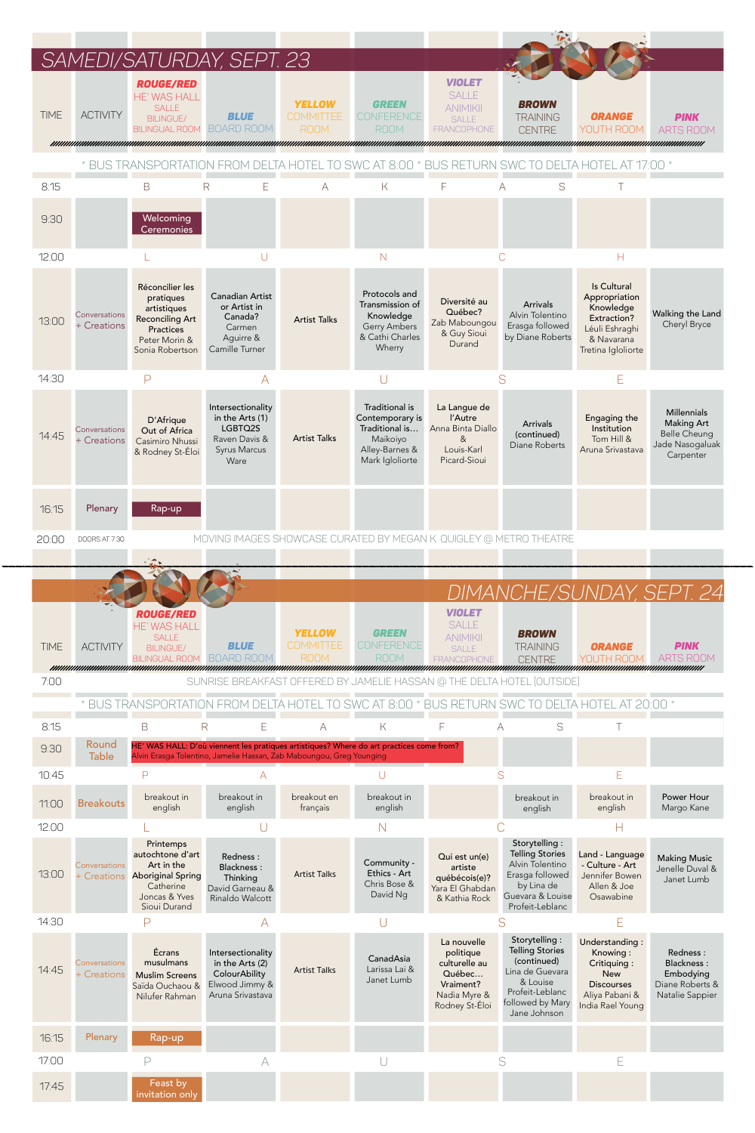

| 11:00 | <b>Breakouts</b>             | breakout in<br>english                                                                                                | breakout in<br>english                                                                      | breakout en<br>français | breakout in<br>english                                  |                                                                                                    | breakout in<br>english                                                                                                                       | breakout in<br>english                                                                                             | Power Hour<br>Margo Kane                                                         |
|-------|------------------------------|-----------------------------------------------------------------------------------------------------------------------|---------------------------------------------------------------------------------------------|-------------------------|---------------------------------------------------------|----------------------------------------------------------------------------------------------------|----------------------------------------------------------------------------------------------------------------------------------------------|--------------------------------------------------------------------------------------------------------------------|----------------------------------------------------------------------------------|
| 12:00 |                              |                                                                                                                       |                                                                                             |                         | N                                                       |                                                                                                    |                                                                                                                                              |                                                                                                                    |                                                                                  |
| 13:00 | Conversations<br>+ Creations | Printemps<br>autochtone d'art<br>Art in the<br><b>Aboriginal Spring</b><br>Catherine<br>Joncas & Yves<br>Sioui Durand | Redness:<br><b>Blackness:</b><br>Thinking<br>David Garneau &<br>Rinaldo Walcott             | <b>Artist Talks</b>     | Community -<br>Ethics - Art<br>Chris Bose &<br>David Ng | Qui est un(e)<br>artiste<br>québécois(e)?<br>Yara El Ghabdan<br>& Kathia Rock                      | Storytelling:<br><b>Telling Stories</b><br>Alvin Tolentino<br>Erasga followed<br>by Lina de<br>Guevara & Louise<br>Profeit-Leblanc           | Land - Language<br>- Culture - Art<br>Jennifer Bowen<br>Allen & Joe<br>Osawabine                                   | <b>Making Music</b><br>Jenelle Duval &<br>Janet Lumb                             |
| 14:30 |                              | Ρ                                                                                                                     |                                                                                             |                         |                                                         |                                                                                                    |                                                                                                                                              | E                                                                                                                  |                                                                                  |
| 14:45 | Conversations<br>+ Creations | Écrans<br>musulmans<br><b>Muslim Screens</b><br>Saïda Ouchaou &<br>Nilufer Rahman                                     | Intersectionality<br>in the Arts (2)<br>ColourAbility<br>Elwood Jimmy &<br>Aruna Srivastava | <b>Artist Talks</b>     | CanadAsia<br>Larissa Lai &<br>Janet Lumb                | La nouvelle<br>politique<br>culturelle au<br>Québec<br>Vraiment?<br>Nadia Myre &<br>Rodney St-Éloi | Storytelling:<br><b>Telling Stories</b><br>(continued)<br>Lina de Guevara<br>& Louise<br>Profeit-Leblanc<br>followed by Mary<br>Jane Johnson | Understanding:<br>Knowing:<br>Critiquing:<br><b>New</b><br><b>Discourses</b><br>Aliya Pabani &<br>India Rael Young | Redness:<br><b>Blackness:</b><br>Embodying<br>Diane Roberts &<br>Natalie Sappier |
| 16:15 | Plenary                      | Rap-up                                                                                                                |                                                                                             |                         |                                                         |                                                                                                    |                                                                                                                                              |                                                                                                                    |                                                                                  |
| 17:00 |                              |                                                                                                                       |                                                                                             |                         |                                                         |                                                                                                    |                                                                                                                                              | Е                                                                                                                  |                                                                                  |
| 17:45 |                              | Feast by<br>invitation only                                                                                           |                                                                                             |                         |                                                         |                                                                                                    |                                                                                                                                              |                                                                                                                    |                                                                                  |